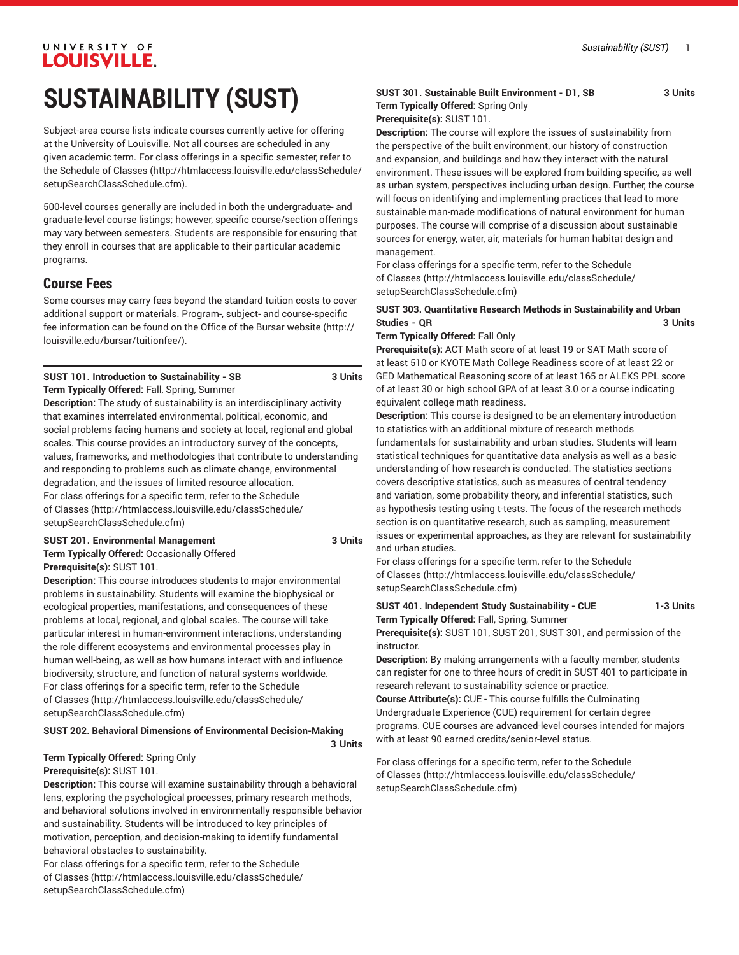# UNIVERSITY OF **LOUISVILLE.**

# **SUSTAINABILITY (SUST)**

Subject-area course lists indicate courses currently active for offering at the University of Louisville. Not all courses are scheduled in any given academic term. For class offerings in a specific semester, refer to the [Schedule of Classes](http://htmlaccess.louisville.edu/classSchedule/setupSearchClassSchedule.cfm) ([http://htmlaccess.louisville.edu/classSchedule/](http://htmlaccess.louisville.edu/classSchedule/setupSearchClassSchedule.cfm) [setupSearchClassSchedule.cfm\)](http://htmlaccess.louisville.edu/classSchedule/setupSearchClassSchedule.cfm).

500-level courses generally are included in both the undergraduate- and graduate-level course listings; however, specific course/section offerings may vary between semesters. Students are responsible for ensuring that they enroll in courses that are applicable to their particular academic programs.

## **Course Fees**

Some courses may carry fees beyond the standard tuition costs to cover additional support or materials. Program-, subject- and course-specific fee information can be found on the [Office of the Bursar website](http://louisville.edu/bursar/tuitionfee/) ([http://](http://louisville.edu/bursar/tuitionfee/) [louisville.edu/bursar/tuitionfee/](http://louisville.edu/bursar/tuitionfee/)).

#### **SUST 101. Introduction to Sustainability - SB 3 Units Term Typically Offered:** Fall, Spring, Summer

**Description:** The study of sustainability is an interdisciplinary activity that examines interrelated environmental, political, economic, and social problems facing humans and society at local, regional and global scales. This course provides an introductory survey of the concepts, values, frameworks, and methodologies that contribute to understanding and responding to problems such as climate change, environmental degradation, and the issues of limited resource allocation. For class offerings for a specific term, refer to the [Schedule](http://htmlaccess.louisville.edu/classSchedule/setupSearchClassSchedule.cfm) [of Classes \(http://htmlaccess.louisville.edu/classSchedule/](http://htmlaccess.louisville.edu/classSchedule/setupSearchClassSchedule.cfm) [setupSearchClassSchedule.cfm\)](http://htmlaccess.louisville.edu/classSchedule/setupSearchClassSchedule.cfm)

#### **SUST 201. Environmental Management 3 Units**

**Term Typically Offered:** Occasionally Offered **Prerequisite(s):** SUST 101.

**Description:** This course introduces students to major environmental problems in sustainability. Students will examine the biophysical or ecological properties, manifestations, and consequences of these problems at local, regional, and global scales. The course will take particular interest in human-environment interactions, understanding the role different ecosystems and environmental processes play in human well-being, as well as how humans interact with and influence biodiversity, structure, and function of natural systems worldwide. For class offerings for a specific term, refer to the [Schedule](http://htmlaccess.louisville.edu/classSchedule/setupSearchClassSchedule.cfm) [of Classes \(http://htmlaccess.louisville.edu/classSchedule/](http://htmlaccess.louisville.edu/classSchedule/setupSearchClassSchedule.cfm) [setupSearchClassSchedule.cfm\)](http://htmlaccess.louisville.edu/classSchedule/setupSearchClassSchedule.cfm)

#### **SUST 202. Behavioral Dimensions of Environmental Decision-Making**

**3 Units**

# **Term Typically Offered:** Spring Only

#### **Prerequisite(s):** SUST 101.

**Description:** This course will examine sustainability through a behavioral lens, exploring the psychological processes, primary research methods, and behavioral solutions involved in environmentally responsible behavior and sustainability. Students will be introduced to key principles of motivation, perception, and decision-making to identify fundamental behavioral obstacles to sustainability.

For class offerings for a specific term, refer to the [Schedule](http://htmlaccess.louisville.edu/classSchedule/setupSearchClassSchedule.cfm) [of Classes \(http://htmlaccess.louisville.edu/classSchedule/](http://htmlaccess.louisville.edu/classSchedule/setupSearchClassSchedule.cfm) [setupSearchClassSchedule.cfm\)](http://htmlaccess.louisville.edu/classSchedule/setupSearchClassSchedule.cfm)

#### **SUST 301. Sustainable Built Environment - D1, SB 3 Units Term Typically Offered:** Spring Only

## **Prerequisite(s):** SUST 101.

**Description:** The course will explore the issues of sustainability from the perspective of the built environment, our history of construction and expansion, and buildings and how they interact with the natural environment. These issues will be explored from building specific, as well as urban system, perspectives including urban design. Further, the course will focus on identifying and implementing practices that lead to more sustainable man-made modifications of natural environment for human purposes. The course will comprise of a discussion about sustainable sources for energy, water, air, materials for human habitat design and management.

For class offerings for a specific term, refer to the [Schedule](http://htmlaccess.louisville.edu/classSchedule/setupSearchClassSchedule.cfm) [of Classes](http://htmlaccess.louisville.edu/classSchedule/setupSearchClassSchedule.cfm) ([http://htmlaccess.louisville.edu/classSchedule/](http://htmlaccess.louisville.edu/classSchedule/setupSearchClassSchedule.cfm) [setupSearchClassSchedule.cfm\)](http://htmlaccess.louisville.edu/classSchedule/setupSearchClassSchedule.cfm)

#### **SUST 303. Quantitative Research Methods in Sustainability and Urban Studies - QR 3 Units**

#### **Term Typically Offered:** Fall Only

**Prerequisite(s):** ACT Math score of at least 19 or SAT Math score of at least 510 or KYOTE Math College Readiness score of at least 22 or GED Mathematical Reasoning score of at least 165 or ALEKS PPL score of at least 30 or high school GPA of at least 3.0 or a course indicating equivalent college math readiness.

**Description:** This course is designed to be an elementary introduction to statistics with an additional mixture of research methods fundamentals for sustainability and urban studies. Students will learn statistical techniques for quantitative data analysis as well as a basic understanding of how research is conducted. The statistics sections covers descriptive statistics, such as measures of central tendency and variation, some probability theory, and inferential statistics, such as hypothesis testing using t-tests. The focus of the research methods section is on quantitative research, such as sampling, measurement issues or experimental approaches, as they are relevant for sustainability and urban studies.

For class offerings for a specific term, refer to the [Schedule](http://htmlaccess.louisville.edu/classSchedule/setupSearchClassSchedule.cfm) [of Classes](http://htmlaccess.louisville.edu/classSchedule/setupSearchClassSchedule.cfm) ([http://htmlaccess.louisville.edu/classSchedule/](http://htmlaccess.louisville.edu/classSchedule/setupSearchClassSchedule.cfm) [setupSearchClassSchedule.cfm\)](http://htmlaccess.louisville.edu/classSchedule/setupSearchClassSchedule.cfm)

#### **SUST 401. Independent Study Sustainability - CUE 1-3 Units Term Typically Offered:** Fall, Spring, Summer

**Prerequisite(s):** SUST 101, SUST 201, SUST 301, and permission of the instructor.

**Description:** By making arrangements with a faculty member, students can register for one to three hours of credit in SUST 401 to participate in research relevant to sustainability science or practice.

**Course Attribute(s):** CUE - This course fulfills the Culminating Undergraduate Experience (CUE) requirement for certain degree programs. CUE courses are advanced-level courses intended for majors with at least 90 earned credits/senior-level status.

For class offerings for a specific term, refer to the [Schedule](http://htmlaccess.louisville.edu/classSchedule/setupSearchClassSchedule.cfm) [of Classes](http://htmlaccess.louisville.edu/classSchedule/setupSearchClassSchedule.cfm) ([http://htmlaccess.louisville.edu/classSchedule/](http://htmlaccess.louisville.edu/classSchedule/setupSearchClassSchedule.cfm) [setupSearchClassSchedule.cfm\)](http://htmlaccess.louisville.edu/classSchedule/setupSearchClassSchedule.cfm)